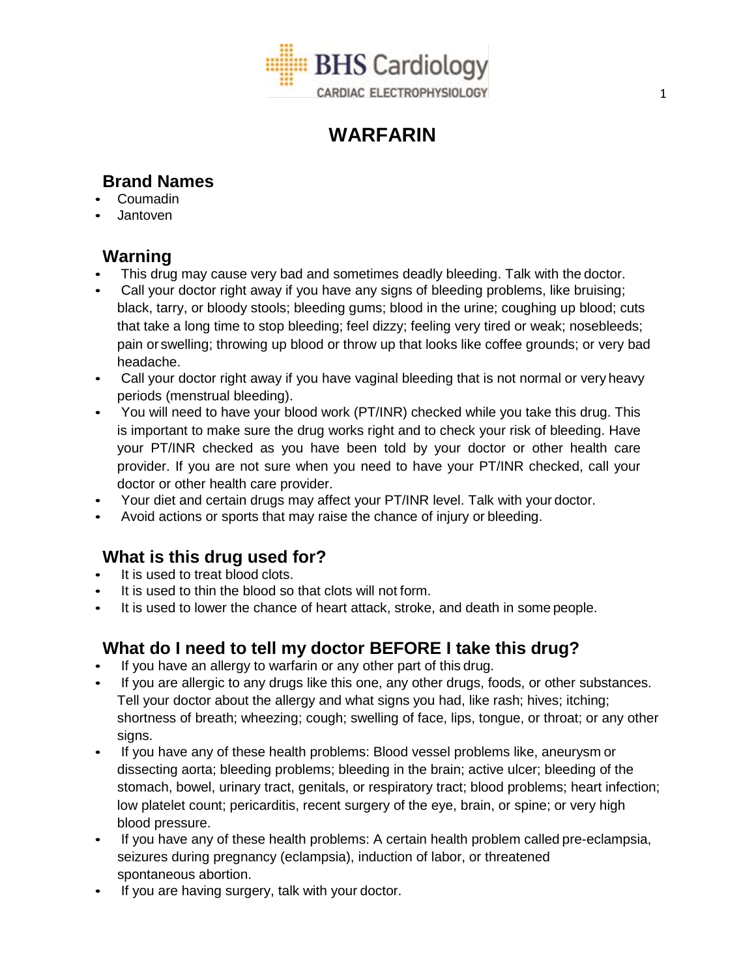

# **WARFARIN**

### **Brand Names**

- Coumadin
- Jantoven

## **Warning**

- This drug may cause very bad and sometimes deadly bleeding. Talk with the doctor.
- Call your doctor right away if you have any signs of bleeding problems, like bruising; black, tarry, or bloody stools; bleeding gums; blood in the urine; coughing up blood; cuts that take a long time to stop bleeding; feel dizzy; feeling very tired or weak; nosebleeds; pain or swelling; throwing up blood or throw up that looks like coffee grounds; or very bad headache.
- Call your doctor right away if you have vaginal bleeding that is not normal or very heavy periods (menstrual bleeding).
- You will need to have your blood work (PT/INR) checked while you take this drug. This is important to make sure the drug works right and to check your risk of bleeding. Have your PT/INR checked as you have been told by your doctor or other health care provider. If you are not sure when you need to have your PT/INR checked, call your doctor or other health care provider.
- Your diet and certain drugs may affect your PT/INR level. Talk with your doctor.
- Avoid actions or sports that may raise the chance of injury or bleeding.

### **What is this drug used for?**

- It is used to treat blood clots.
- It is used to thin the blood so that clots will not form.
- It is used to lower the chance of heart attack, stroke, and death in some people.

### **What do I need to tell my doctor BEFORE I take this drug?**

- If you have an allergy to warfarin or any other part of this drug.
- If you are allergic to any drugs like this one, any other drugs, foods, or other substances. Tell your doctor about the allergy and what signs you had, like rash; hives; itching; shortness of breath; wheezing; cough; swelling of face, lips, tongue, or throat; or any other signs.
- If you have any of these health problems: Blood vessel problems like, aneurysm or dissecting aorta; bleeding problems; bleeding in the brain; active ulcer; bleeding of the stomach, bowel, urinary tract, genitals, or respiratory tract; blood problems; heart infection; low platelet count; pericarditis, recent surgery of the eye, brain, or spine; or very high blood pressure.
- If you have any of these health problems: A certain health problem called pre-eclampsia, seizures during pregnancy (eclampsia), induction of labor, or threatened spontaneous abortion.
- If you are having surgery, talk with your doctor.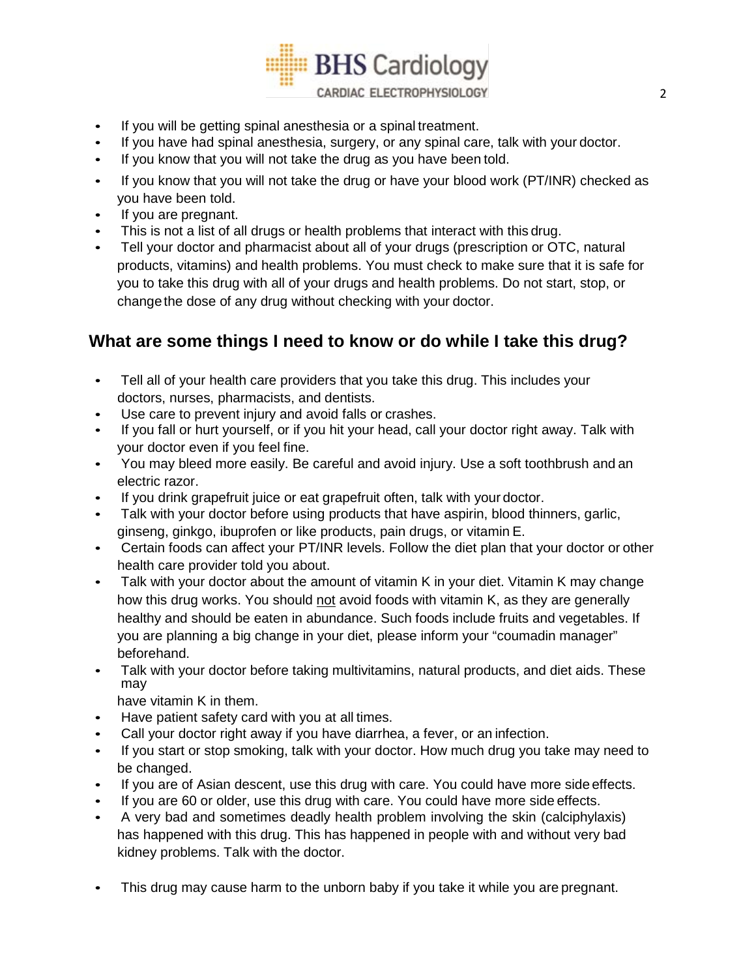

- If you will be getting spinal anesthesia or a spinal treatment.
- If you have had spinal anesthesia, surgery, or any spinal care, talk with your doctor.
- If you know that you will not take the drug as you have been told.
- If you know that you will not take the drug or have your blood work (PT/INR) checked as you have been told.
- If you are pregnant.
- This is not a list of all drugs or health problems that interact with this drug.
- Tell your doctor and pharmacist about all of your drugs (prescription or OTC, natural products, vitamins) and health problems. You must check to make sure that it is safe for you to take this drug with all of your drugs and health problems. Do not start, stop, or changethe dose of any drug without checking with your doctor.

### **What are some things I need to know or do while I take this drug?**

- Tell all of your health care providers that you take this drug. This includes your doctors, nurses, pharmacists, and dentists.
- Use care to prevent injury and avoid falls or crashes.
- If you fall or hurt yourself, or if you hit your head, call your doctor right away. Talk with your doctor even if you feel fine.
- You may bleed more easily. Be careful and avoid injury. Use a soft toothbrush and an electric razor.
- If you drink grapefruit juice or eat grapefruit often, talk with your doctor.
- Talk with your doctor before using products that have aspirin, blood thinners, garlic, ginseng, ginkgo, ibuprofen or like products, pain drugs, or vitamin E.
- Certain foods can affect your PT/INR levels. Follow the diet plan that your doctor or other health care provider told you about.
- Talk with your doctor about the amount of vitamin K in your diet. Vitamin K may change how this drug works. You should not avoid foods with vitamin K, as they are generally healthy and should be eaten in abundance. Such foods include fruits and vegetables. If you are planning a big change in your diet, please inform your "coumadin manager" beforehand.
- Talk with your doctor before taking multivitamins, natural products, and diet aids. These may
	- have vitamin K in them.
- Have patient safety card with you at all times.
- Call your doctor right away if you have diarrhea, a fever, or an infection.
- If you start or stop smoking, talk with your doctor. How much drug you take may need to be changed.
- If you are of Asian descent, use this drug with care. You could have more side effects.
- If you are 60 or older, use this drug with care. You could have more side effects.
- A very bad and sometimes deadly health problem involving the skin (calciphylaxis) has happened with this drug. This has happened in people with and without very bad kidney problems. Talk with the doctor.
- This drug may cause harm to the unborn baby if you take it while you are pregnant.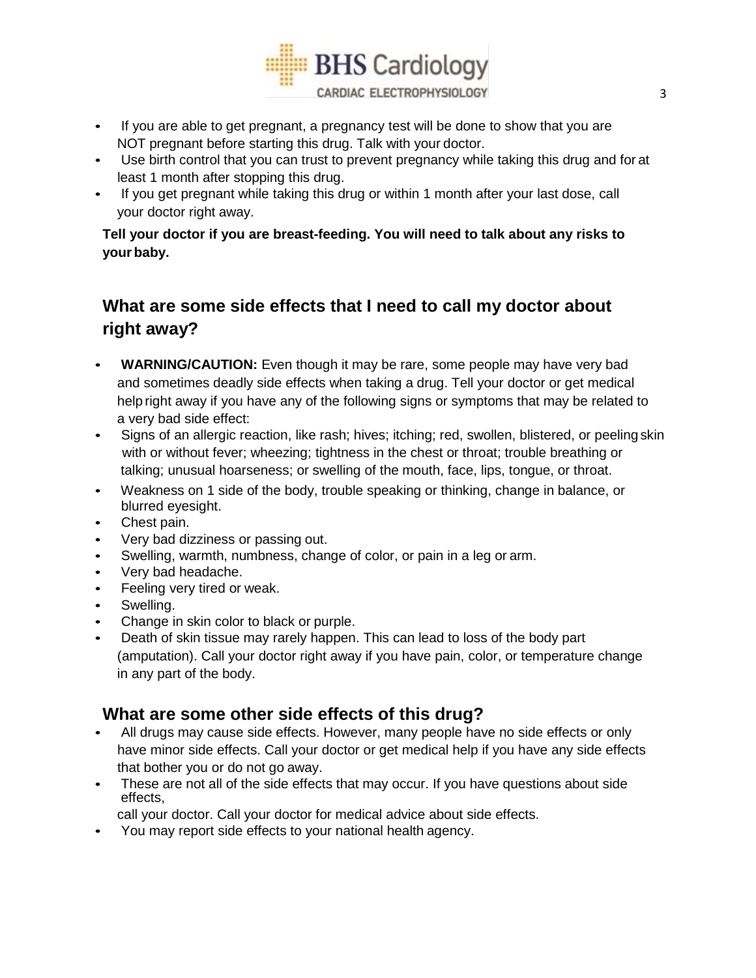

- If you are able to get pregnant, a pregnancy test will be done to show that you are NOT pregnant before starting this drug. Talk with your doctor.
- Use birth control that you can trust to prevent pregnancy while taking this drug and for at least 1 month after stopping this drug.
- If you get pregnant while taking this drug or within 1 month after your last dose, call your doctor right away.

**Tell your doctor if you are breast-feeding. You will need to talk about any risks to your baby.**

### **What are some side effects that I need to call my doctor about right away?**

- WARNING/CAUTION: Even though it may be rare, some people may have very bad and sometimes deadly side effects when taking a drug. Tell your doctor or get medical help right away if you have any of the following signs or symptoms that may be related to a very bad side effect:
- Signs of an allergic reaction, like rash; hives; itching; red, swollen, blistered, or peeling skin with or without fever; wheezing; tightness in the chest or throat; trouble breathing or talking; unusual hoarseness; or swelling of the mouth, face, lips, tongue, or throat.
- Weakness on 1 side of the body, trouble speaking or thinking, change in balance, or blurred eyesight.
- Chest pain.
- Very bad dizziness or passing out.
- Swelling, warmth, numbness, change of color, or pain in a leg or arm.
- Very bad headache.
- Feeling very tired or weak.
- Swelling.
- Change in skin color to black or purple.
- Death of skin tissue may rarely happen. This can lead to loss of the body part (amputation). Call your doctor right away if you have pain, color, or temperature change in any part of the body.

### **What are some other side effects of this drug?**

- All drugs may cause side effects. However, many people have no side effects or only have minor side effects. Call your doctor or get medical help if you have any side effects that bother you or do not go away.
- These are not all of the side effects that may occur. If you have questions about side effects,

call your doctor. Call your doctor for medical advice about side effects.

• You may report side effects to your national health agency.